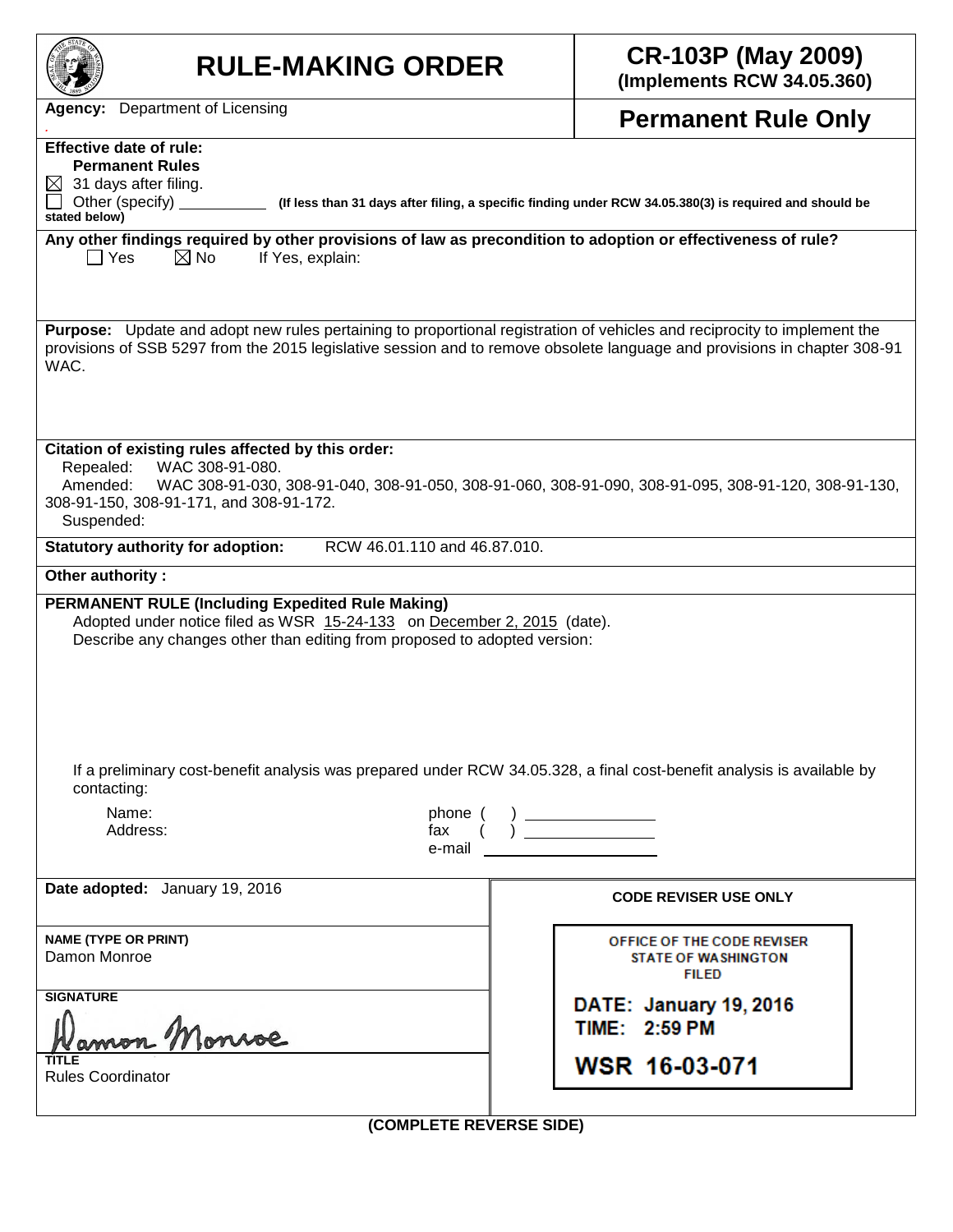| <b>RULE-MAKING ORDER</b>                                                                                                                                                                                                                                                                                                                                                                                          | <b>CR-103P (May 2009)</b><br>(Implements RCW 34.05.360)                  |  |  |  |  |  |  |  |
|-------------------------------------------------------------------------------------------------------------------------------------------------------------------------------------------------------------------------------------------------------------------------------------------------------------------------------------------------------------------------------------------------------------------|--------------------------------------------------------------------------|--|--|--|--|--|--|--|
| <b>Agency:</b> Department of Licensing                                                                                                                                                                                                                                                                                                                                                                            | <b>Permanent Rule Only</b>                                               |  |  |  |  |  |  |  |
| <b>Effective date of rule:</b><br><b>Permanent Rules</b><br>31 days after filing.<br>$\bowtie$<br>Other (specify)<br>(If less than 31 days after filing, a specific finding under RCW 34.05.380(3) is required and should be<br>stated below)<br>Any other findings required by other provisions of law as precondition to adoption or effectiveness of rule?<br>$\boxtimes$ No<br>$\Box$ Yes<br>If Yes, explain: |                                                                          |  |  |  |  |  |  |  |
| Purpose: Update and adopt new rules pertaining to proportional registration of vehicles and reciprocity to implement the<br>provisions of SSB 5297 from the 2015 legislative session and to remove obsolete language and provisions in chapter 308-91<br>WAC.                                                                                                                                                     |                                                                          |  |  |  |  |  |  |  |
| Citation of existing rules affected by this order:<br>Repealed:<br>WAC 308-91-080.<br>WAC 308-91-030, 308-91-040, 308-91-050, 308-91-060, 308-91-090, 308-91-095, 308-91-120, 308-91-130,<br>Amended:<br>308-91-150, 308-91-171, and 308-91-172.<br>Suspended:                                                                                                                                                    |                                                                          |  |  |  |  |  |  |  |
| RCW 46.01.110 and 46.87.010.<br><b>Statutory authority for adoption:</b>                                                                                                                                                                                                                                                                                                                                          |                                                                          |  |  |  |  |  |  |  |
| Other authority:                                                                                                                                                                                                                                                                                                                                                                                                  |                                                                          |  |  |  |  |  |  |  |
| <b>PERMANENT RULE (Including Expedited Rule Making)</b><br>Adopted under notice filed as WSR 15-24-133 on December 2, 2015 (date).<br>Describe any changes other than editing from proposed to adopted version:                                                                                                                                                                                                   |                                                                          |  |  |  |  |  |  |  |
| If a preliminary cost-benefit analysis was prepared under RCW 34.05.328, a final cost-benefit analysis is available by<br>contacting:                                                                                                                                                                                                                                                                             |                                                                          |  |  |  |  |  |  |  |
| Name:<br>phone<br>Address:<br>fax<br>e-mail                                                                                                                                                                                                                                                                                                                                                                       | $\Big) \underline{\hspace{1.5cm}}$                                       |  |  |  |  |  |  |  |
| Date adopted: January 19, 2016                                                                                                                                                                                                                                                                                                                                                                                    | <b>CODE REVISER USE ONLY</b>                                             |  |  |  |  |  |  |  |
| <b>NAME (TYPE OR PRINT)</b><br>Damon Monroe                                                                                                                                                                                                                                                                                                                                                                       | OFFICE OF THE CODE REVISER<br><b>STATE OF WASHINGTON</b><br><b>FILED</b> |  |  |  |  |  |  |  |
| <b>SIGNATURE</b>                                                                                                                                                                                                                                                                                                                                                                                                  | DATE: January 19, 2016<br>TIME: 2:59 PM                                  |  |  |  |  |  |  |  |
| <b>Rules Coordinator</b>                                                                                                                                                                                                                                                                                                                                                                                          | WSR 16-03-071                                                            |  |  |  |  |  |  |  |